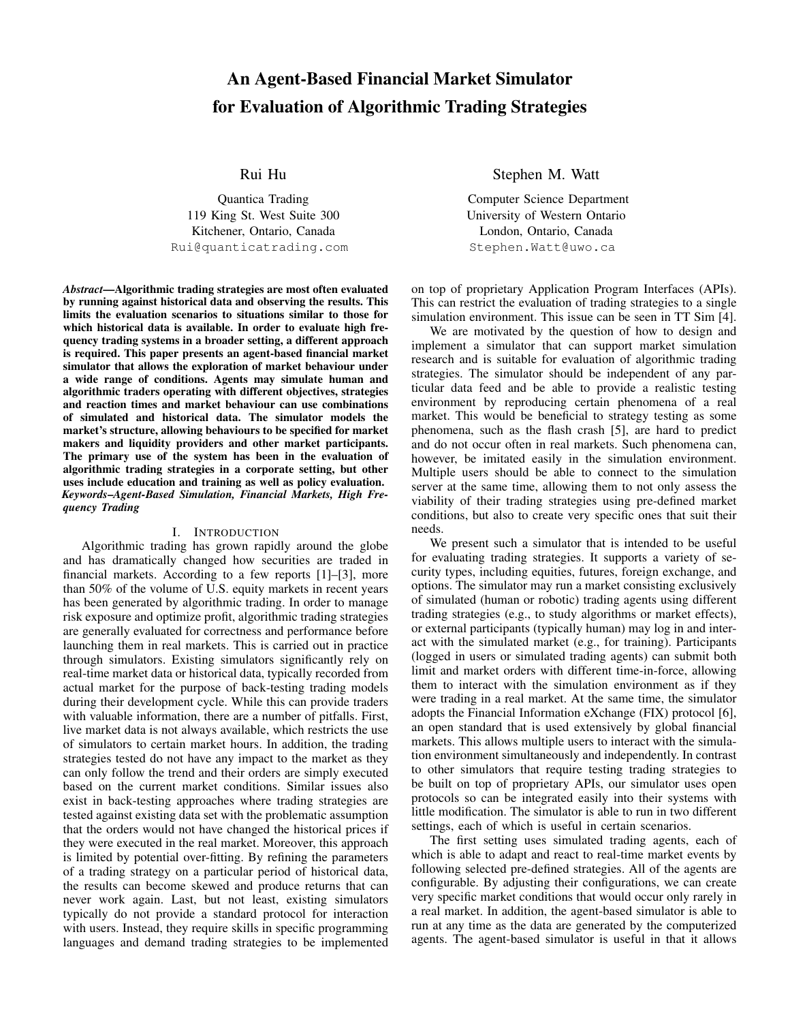# An Agent-Based Financial Market Simulator for Evaluation of Algorithmic Trading Strategies

Rui Hu

Quantica Trading 119 King St. West Suite 300 Kitchener, Ontario, Canada Rui@quanticatrading.com

*Abstract*—Algorithmic trading strategies are most often evaluated by running against historical data and observing the results. This limits the evaluation scenarios to situations similar to those for which historical data is available. In order to evaluate high frequency trading systems in a broader setting, a different approach is required. This paper presents an agent-based financial market simulator that allows the exploration of market behaviour under a wide range of conditions. Agents may simulate human and algorithmic traders operating with different objectives, strategies and reaction times and market behaviour can use combinations of simulated and historical data. The simulator models the market's structure, allowing behaviours to be specified for market makers and liquidity providers and other market participants. The primary use of the system has been in the evaluation of algorithmic trading strategies in a corporate setting, but other uses include education and training as well as policy evaluation. *Keywords*–*Agent-Based Simulation, Financial Markets, High Frequency Trading*

## I. INTRODUCTION

Algorithmic trading has grown rapidly around the globe and has dramatically changed how securities are traded in financial markets. According to a few reports [\[1\]](#page-6-0)–[\[3\]](#page-6-1), more than 50% of the volume of U.S. equity markets in recent years has been generated by algorithmic trading. In order to manage risk exposure and optimize profit, algorithmic trading strategies are generally evaluated for correctness and performance before launching them in real markets. This is carried out in practice through simulators. Existing simulators significantly rely on real-time market data or historical data, typically recorded from actual market for the purpose of back-testing trading models during their development cycle. While this can provide traders with valuable information, there are a number of pitfalls. First, live market data is not always available, which restricts the use of simulators to certain market hours. In addition, the trading strategies tested do not have any impact to the market as they can only follow the trend and their orders are simply executed based on the current market conditions. Similar issues also exist in back-testing approaches where trading strategies are tested against existing data set with the problematic assumption that the orders would not have changed the historical prices if they were executed in the real market. Moreover, this approach is limited by potential over-fitting. By refining the parameters of a trading strategy on a particular period of historical data, the results can become skewed and produce returns that can never work again. Last, but not least, existing simulators typically do not provide a standard protocol for interaction with users. Instead, they require skills in specific programming languages and demand trading strategies to be implemented Stephen M. Watt

Computer Science Department University of Western Ontario London, Ontario, Canada Stephen.Watt@uwo.ca

on top of proprietary Application Program Interfaces (APIs). This can restrict the evaluation of trading strategies to a single simulation environment. This issue can be seen in TT Sim [\[4\]](#page-6-2).

We are motivated by the question of how to design and implement a simulator that can support market simulation research and is suitable for evaluation of algorithmic trading strategies. The simulator should be independent of any particular data feed and be able to provide a realistic testing environment by reproducing certain phenomena of a real market. This would be beneficial to strategy testing as some phenomena, such as the flash crash [\[5\]](#page-6-3), are hard to predict and do not occur often in real markets. Such phenomena can, however, be imitated easily in the simulation environment. Multiple users should be able to connect to the simulation server at the same time, allowing them to not only assess the viability of their trading strategies using pre-defined market conditions, but also to create very specific ones that suit their needs.

We present such a simulator that is intended to be useful for evaluating trading strategies. It supports a variety of security types, including equities, futures, foreign exchange, and options. The simulator may run a market consisting exclusively of simulated (human or robotic) trading agents using different trading strategies (e.g., to study algorithms or market effects), or external participants (typically human) may log in and interact with the simulated market (e.g., for training). Participants (logged in users or simulated trading agents) can submit both limit and market orders with different time-in-force, allowing them to interact with the simulation environment as if they were trading in a real market. At the same time, the simulator adopts the Financial Information eXchange (FIX) protocol [\[6\]](#page-6-4), an open standard that is used extensively by global financial markets. This allows multiple users to interact with the simulation environment simultaneously and independently. In contrast to other simulators that require testing trading strategies to be built on top of proprietary APIs, our simulator uses open protocols so can be integrated easily into their systems with little modification. The simulator is able to run in two different settings, each of which is useful in certain scenarios.

The first setting uses simulated trading agents, each of which is able to adapt and react to real-time market events by following selected pre-defined strategies. All of the agents are configurable. By adjusting their configurations, we can create very specific market conditions that would occur only rarely in a real market. In addition, the agent-based simulator is able to run at any time as the data are generated by the computerized agents. The agent-based simulator is useful in that it allows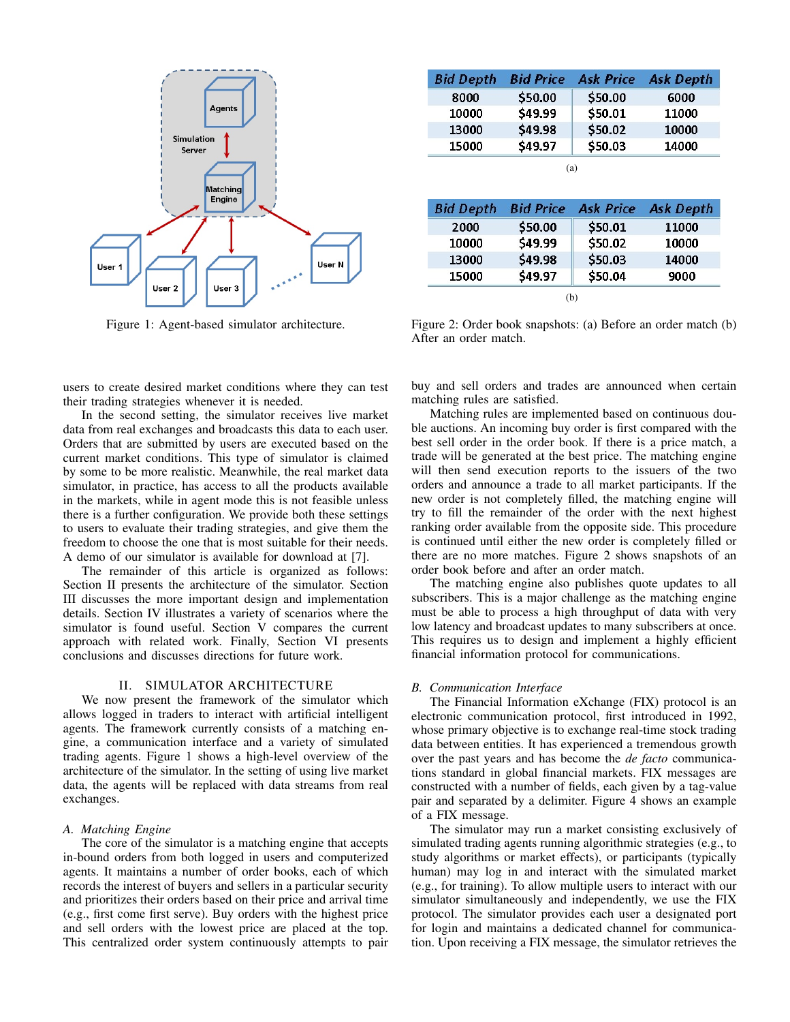<span id="page-1-1"></span>

Figure 1: Agent-based simulator architecture.

<span id="page-1-2"></span>**Bid Depth Bid Price Ask Price Ask Depth** 8000 \$50.00 \$50.00 6000 10000 \$49.99 \$50.01 11000 13000 \$49.98 \$50.02 10000 15000 \$49.97 \$50.03 14000 (a)

| <b>Bid Depth</b> | <b>Bid Price</b> | <b>Ask Price</b> | <b>Ask Depth</b> |
|------------------|------------------|------------------|------------------|
| 2000             | \$50.00          | \$50.01          | 11000            |
| 10000            | \$49.99          | \$50.02          | 10000            |
| 13000            | \$49.98          | \$50.03          | 14000            |
| 15000            | \$49.97          | \$50.04          | 9000             |
|                  |                  | (b)              |                  |

Figure 2: Order book snapshots: (a) Before an order match (b) After an order match.

users to create desired market conditions where they can test their trading strategies whenever it is needed.

In the second setting, the simulator receives live market data from real exchanges and broadcasts this data to each user. Orders that are submitted by users are executed based on the current market conditions. This type of simulator is claimed by some to be more realistic. Meanwhile, the real market data simulator, in practice, has access to all the products available in the markets, while in agent mode this is not feasible unless there is a further configuration. We provide both these settings to users to evaluate their trading strategies, and give them the freedom to choose the one that is most suitable for their needs. A demo of our simulator is available for download at [\[7\]](#page-6-5).

The remainder of this article is organized as follows: Section [II](#page-1-0) presents the architecture of the simulator. Section [III](#page-3-0) discusses the more important design and implementation details. Section [IV](#page-4-0) illustrates a variety of scenarios where the simulator is found useful. Section [V](#page-4-1) compares the current approach with related work. Finally, Section [VI](#page-5-0) presents conclusions and discusses directions for future work.

## II. SIMULATOR ARCHITECTURE

<span id="page-1-0"></span>We now present the framework of the simulator which allows logged in traders to interact with artificial intelligent agents. The framework currently consists of a matching engine, a communication interface and a variety of simulated trading agents. Figure [1](#page-1-1) shows a high-level overview of the architecture of the simulator. In the setting of using live market data, the agents will be replaced with data streams from real exchanges.

#### *A. Matching Engine*

The core of the simulator is a matching engine that accepts in-bound orders from both logged in users and computerized agents. It maintains a number of order books, each of which records the interest of buyers and sellers in a particular security and prioritizes their orders based on their price and arrival time (e.g., first come first serve). Buy orders with the highest price and sell orders with the lowest price are placed at the top. This centralized order system continuously attempts to pair buy and sell orders and trades are announced when certain matching rules are satisfied.

Matching rules are implemented based on continuous double auctions. An incoming buy order is first compared with the best sell order in the order book. If there is a price match, a trade will be generated at the best price. The matching engine will then send execution reports to the issuers of the two orders and announce a trade to all market participants. If the new order is not completely filled, the matching engine will try to fill the remainder of the order with the next highest ranking order available from the opposite side. This procedure is continued until either the new order is completely filled or there are no more matches. Figure [2](#page-1-2) shows snapshots of an order book before and after an order match.

The matching engine also publishes quote updates to all subscribers. This is a major challenge as the matching engine must be able to process a high throughput of data with very low latency and broadcast updates to many subscribers at once. This requires us to design and implement a highly efficient financial information protocol for communications.

## *B. Communication Interface*

The Financial Information eXchange (FIX) protocol is an electronic communication protocol, first introduced in 1992, whose primary objective is to exchange real-time stock trading data between entities. It has experienced a tremendous growth over the past years and has become the *de facto* communications standard in global financial markets. FIX messages are constructed with a number of fields, each given by a tag-value pair and separated by a delimiter. Figure [4](#page-2-0) shows an example of a FIX message.

The simulator may run a market consisting exclusively of simulated trading agents running algorithmic strategies (e.g., to study algorithms or market effects), or participants (typically human) may log in and interact with the simulated market (e.g., for training). To allow multiple users to interact with our simulator simultaneously and independently, we use the FIX protocol. The simulator provides each user a designated port for login and maintains a dedicated channel for communication. Upon receiving a FIX message, the simulator retrieves the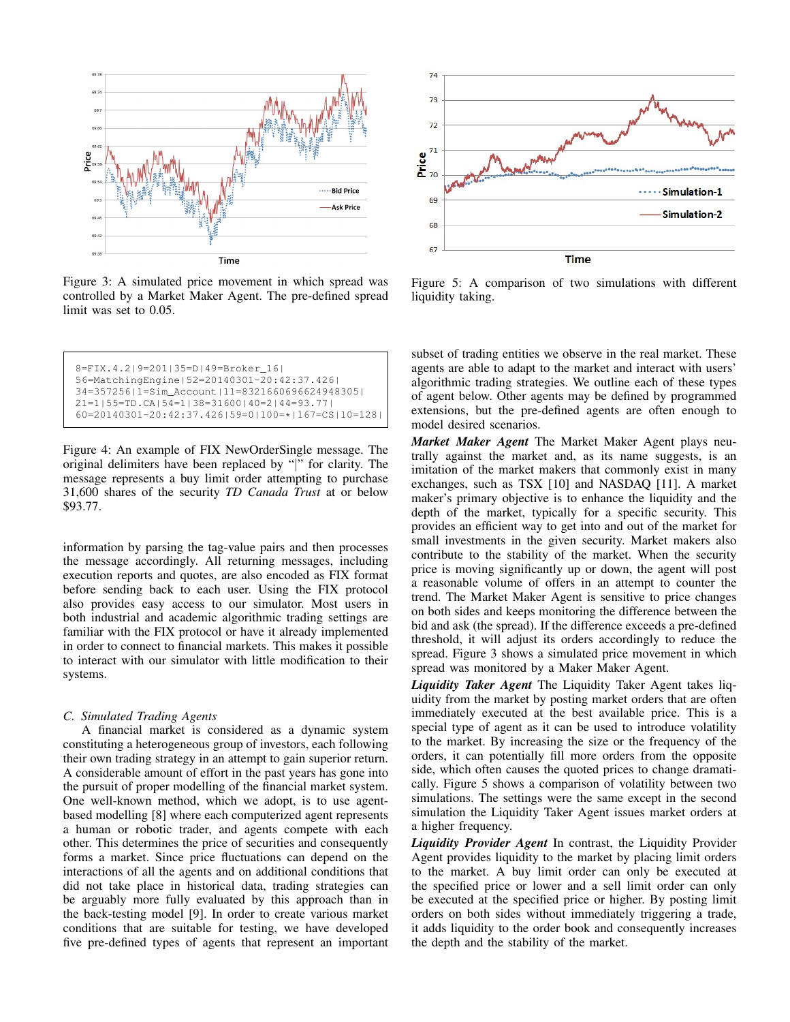<span id="page-2-1"></span>

Figure 3: A simulated price movement in which spread was controlled by a Market Maker Agent. The pre-defined spread limit was set to 0.05.

```
8=FIX.4.2|9=201|35=D|49=Broker_16|
56=MatchingEngine|52=20140301-20:42:37.426|
34=357256|1=Sim_Account|11=8321660696624948305|
21=1|55=TD.CA|54=1|38=31600|40=2|44=93.77|
60=20140301-20:42:37.426|59=0|100=*|167=CS|10=128|
```
Figure 4: An example of FIX NewOrderSingle message. The original delimiters have been replaced by "|" for clarity. The message represents a buy limit order attempting to purchase 31,600 shares of the security *TD Canada Trust* at or below \$93.77.

information by parsing the tag-value pairs and then processes the message accordingly. All returning messages, including execution reports and quotes, are also encoded as FIX format before sending back to each user. Using the FIX protocol also provides easy access to our simulator. Most users in both industrial and academic algorithmic trading settings are familiar with the FIX protocol or have it already implemented in order to connect to financial markets. This makes it possible to interact with our simulator with little modification to their systems.

## *C. Simulated Trading Agents*

A financial market is considered as a dynamic system constituting a heterogeneous group of investors, each following their own trading strategy in an attempt to gain superior return. A considerable amount of effort in the past years has gone into the pursuit of proper modelling of the financial market system. One well-known method, which we adopt, is to use agentbased modelling [\[8\]](#page-6-6) where each computerized agent represents a human or robotic trader, and agents compete with each other. This determines the price of securities and consequently forms a market. Since price fluctuations can depend on the interactions of all the agents and on additional conditions that did not take place in historical data, trading strategies can be arguably more fully evaluated by this approach than in the back-testing model [\[9\]](#page-6-7). In order to create various market conditions that are suitable for testing, we have developed five pre-defined types of agents that represent an important

<span id="page-2-2"></span>

Figure 5: A comparison of two simulations with different liquidity taking.

subset of trading entities we observe in the real market. These agents are able to adapt to the market and interact with users' algorithmic trading strategies. We outline each of these types of agent below. Other agents may be defined by programmed extensions, but the pre-defined agents are often enough to model desired scenarios.

*Market Maker Agent* The Market Maker Agent plays neutrally against the market and, as its name suggests, is an imitation of the market makers that commonly exist in many exchanges, such as TSX [\[10\]](#page-6-8) and NASDAQ [\[11\]](#page-6-9). A market maker's primary objective is to enhance the liquidity and the depth of the market, typically for a specific security. This provides an efficient way to get into and out of the market for small investments in the given security. Market makers also contribute to the stability of the market. When the security price is moving significantly up or down, the agent will post a reasonable volume of offers in an attempt to counter the trend. The Market Maker Agent is sensitive to price changes on both sides and keeps monitoring the difference between the bid and ask (the spread). If the difference exceeds a pre-defined threshold, it will adjust its orders accordingly to reduce the spread. Figure [3](#page-2-1) shows a simulated price movement in which spread was monitored by a Maker Maker Agent.

*Liquidity Taker Agent* The Liquidity Taker Agent takes liquidity from the market by posting market orders that are often immediately executed at the best available price. This is a special type of agent as it can be used to introduce volatility to the market. By increasing the size or the frequency of the orders, it can potentially fill more orders from the opposite side, which often causes the quoted prices to change dramatically. Figure [5](#page-2-2) shows a comparison of volatility between two simulations. The settings were the same except in the second simulation the Liquidity Taker Agent issues market orders at a higher frequency.

*Liquidity Provider Agent* In contrast, the Liquidity Provider Agent provides liquidity to the market by placing limit orders to the market. A buy limit order can only be executed at the specified price or lower and a sell limit order can only be executed at the specified price or higher. By posting limit orders on both sides without immediately triggering a trade, it adds liquidity to the order book and consequently increases the depth and the stability of the market.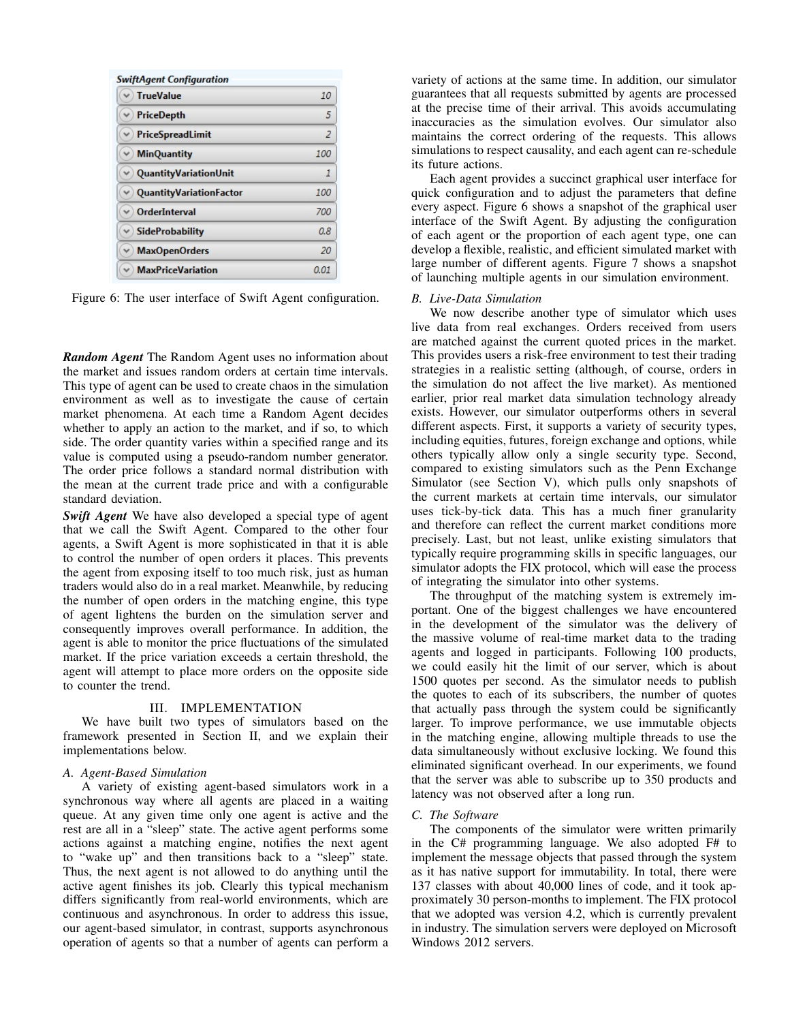<span id="page-3-1"></span>

| <b>TrueValue</b>         | 10   |
|--------------------------|------|
| PriceDepth               | 5    |
| PriceSpreadLimit         | 2    |
| <b>MinQuantity</b><br>v  | 100  |
| QuantityVariationUnit    | 1    |
| QuantityVariationFactor  | 100  |
| OrderInterval            | 700  |
| $\vee$ SideProbability   | 0.8  |
| <b>MaxOpenOrders</b>     | 20   |
| <b>MaxPriceVariation</b> | 0.01 |

Figure 6: The user interface of Swift Agent configuration.

*Random Agent* The Random Agent uses no information about the market and issues random orders at certain time intervals. This type of agent can be used to create chaos in the simulation environment as well as to investigate the cause of certain market phenomena. At each time a Random Agent decides whether to apply an action to the market, and if so, to which side. The order quantity varies within a specified range and its value is computed using a pseudo-random number generator. The order price follows a standard normal distribution with the mean at the current trade price and with a configurable standard deviation.

*Swift Agent* We have also developed a special type of agent that we call the Swift Agent. Compared to the other four agents, a Swift Agent is more sophisticated in that it is able to control the number of open orders it places. This prevents the agent from exposing itself to too much risk, just as human traders would also do in a real market. Meanwhile, by reducing the number of open orders in the matching engine, this type of agent lightens the burden on the simulation server and consequently improves overall performance. In addition, the agent is able to monitor the price fluctuations of the simulated market. If the price variation exceeds a certain threshold, the agent will attempt to place more orders on the opposite side to counter the trend.

#### III. IMPLEMENTATION

<span id="page-3-0"></span>We have built two types of simulators based on the framework presented in Section [II,](#page-1-0) and we explain their implementations below.

#### *A. Agent-Based Simulation*

A variety of existing agent-based simulators work in a synchronous way where all agents are placed in a waiting queue. At any given time only one agent is active and the rest are all in a "sleep" state. The active agent performs some actions against a matching engine, notifies the next agent to "wake up" and then transitions back to a "sleep" state. Thus, the next agent is not allowed to do anything until the active agent finishes its job. Clearly this typical mechanism differs significantly from real-world environments, which are continuous and asynchronous. In order to address this issue, our agent-based simulator, in contrast, supports asynchronous operation of agents so that a number of agents can perform a variety of actions at the same time. In addition, our simulator guarantees that all requests submitted by agents are processed at the precise time of their arrival. This avoids accumulating inaccuracies as the simulation evolves. Our simulator also maintains the correct ordering of the requests. This allows simulations to respect causality, and each agent can re-schedule its future actions.

Each agent provides a succinct graphical user interface for quick configuration and to adjust the parameters that define every aspect. Figure [6](#page-3-1) shows a snapshot of the graphical user interface of the Swift Agent. By adjusting the configuration of each agent or the proportion of each agent type, one can develop a flexible, realistic, and efficient simulated market with large number of different agents. Figure [7](#page-4-2) shows a snapshot of launching multiple agents in our simulation environment.

#### *B. Live-Data Simulation*

We now describe another type of simulator which uses live data from real exchanges. Orders received from users are matched against the current quoted prices in the market. This provides users a risk-free environment to test their trading strategies in a realistic setting (although, of course, orders in the simulation do not affect the live market). As mentioned earlier, prior real market data simulation technology already exists. However, our simulator outperforms others in several different aspects. First, it supports a variety of security types, including equities, futures, foreign exchange and options, while others typically allow only a single security type. Second, compared to existing simulators such as the Penn Exchange Simulator (see Section [V\)](#page-4-1), which pulls only snapshots of the current markets at certain time intervals, our simulator uses tick-by-tick data. This has a much finer granularity and therefore can reflect the current market conditions more precisely. Last, but not least, unlike existing simulators that typically require programming skills in specific languages, our simulator adopts the FIX protocol, which will ease the process of integrating the simulator into other systems.

The throughput of the matching system is extremely important. One of the biggest challenges we have encountered in the development of the simulator was the delivery of the massive volume of real-time market data to the trading agents and logged in participants. Following 100 products, we could easily hit the limit of our server, which is about 1500 quotes per second. As the simulator needs to publish the quotes to each of its subscribers, the number of quotes that actually pass through the system could be significantly larger. To improve performance, we use immutable objects in the matching engine, allowing multiple threads to use the data simultaneously without exclusive locking. We found this eliminated significant overhead. In our experiments, we found that the server was able to subscribe up to 350 products and latency was not observed after a long run.

#### *C. The Software*

The components of the simulator were written primarily in the C# programming language. We also adopted F# to implement the message objects that passed through the system as it has native support for immutability. In total, there were 137 classes with about 40,000 lines of code, and it took approximately 30 person-months to implement. The FIX protocol that we adopted was version 4.2, which is currently prevalent in industry. The simulation servers were deployed on Microsoft Windows 2012 servers.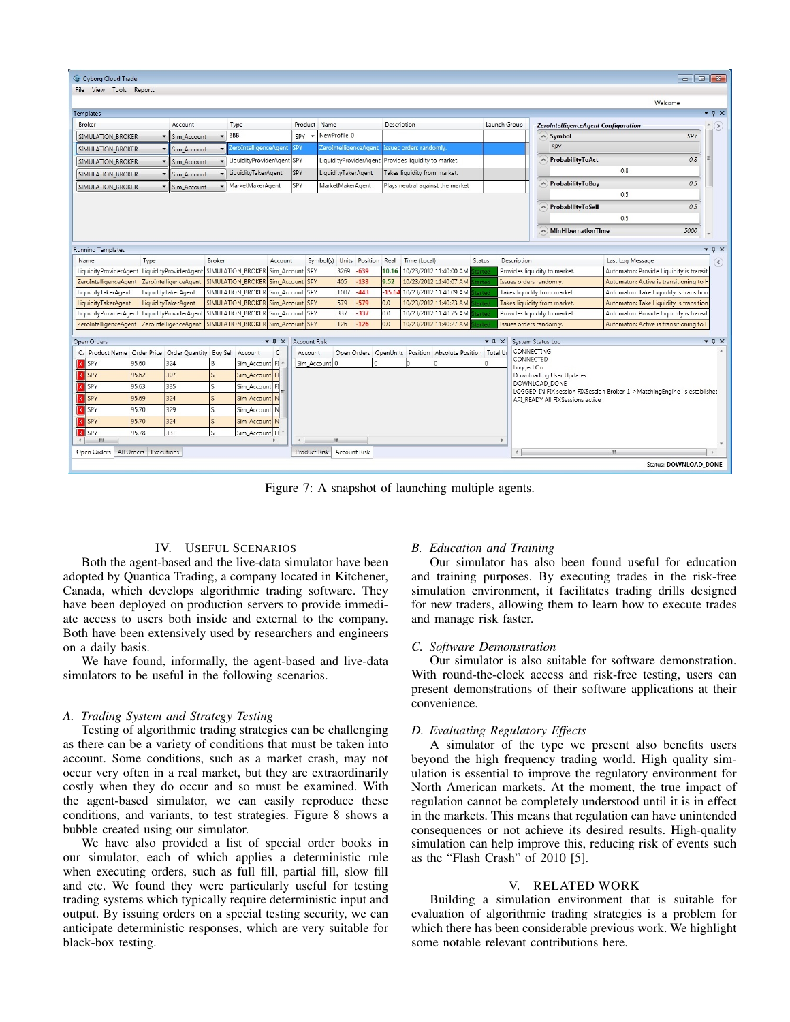<span id="page-4-2"></span>

|                                                                     |                       |                                                          |                |                                   |                                |                     |                              |            |             |                                |                                                          |                               |                               |                        |                                     |                                                                          | $\begin{array}{c c c c c c c c} \hline \multicolumn{3}{c }{\mathbf{C}} & \multicolumn{3}{c }{\mathbf{X}} \end{array}$ |                                      |
|---------------------------------------------------------------------|-----------------------|----------------------------------------------------------|----------------|-----------------------------------|--------------------------------|---------------------|------------------------------|------------|-------------|--------------------------------|----------------------------------------------------------|-------------------------------|-------------------------------|------------------------|-------------------------------------|--------------------------------------------------------------------------|-----------------------------------------------------------------------------------------------------------------------|--------------------------------------|
| Cyborg Cloud Trader<br>File View Tools Reports                      |                       |                                                          |                |                                   |                                |                     |                              |            |             |                                |                                                          |                               |                               |                        |                                     |                                                                          |                                                                                                                       |                                      |
|                                                                     |                       |                                                          |                |                                   |                                |                     |                              |            |             |                                |                                                          |                               |                               |                        |                                     |                                                                          |                                                                                                                       |                                      |
|                                                                     |                       |                                                          |                |                                   |                                |                     |                              |            |             |                                |                                                          |                               |                               |                        |                                     | Welcome                                                                  |                                                                                                                       | $-1 \times$                          |
| Templates<br>Broker                                                 |                       | Account                                                  |                | Type                              |                                | Product Name        |                              |            | Description |                                |                                                          |                               | Launch Group                  |                        |                                     |                                                                          |                                                                                                                       |                                      |
|                                                                     |                       |                                                          |                | BBB                               |                                | SPY                 | NewProfile_0                 |            |             |                                |                                                          |                               |                               |                        | ZeroIntelligenceAgent Configuration |                                                                          | SPY                                                                                                                   | (5)                                  |
| SIMULATION BROKER                                                   |                       | Sim Account                                              |                | <b>ZeroIntelligenceAgent</b>      | <b>SPY</b>                     |                     | <b>ZeroIntelligenceAgent</b> |            |             | <b>Issues orders randomly.</b> |                                                          |                               |                               |                        | $\land$ ) Symbol<br>SPY             |                                                                          |                                                                                                                       |                                      |
| SIMULATION BROKER                                                   |                       | Sim Account                                              |                |                                   |                                |                     |                              |            |             |                                |                                                          |                               |                               |                        | A ProbabilityToAct                  |                                                                          |                                                                                                                       | Ξ                                    |
| SIMULATION_BROKER                                                   |                       | Sim_Account                                              |                | LiquidityProviderAgent SPY        |                                |                     | LiquidityProviderAgent       |            |             | Provides liquidity to market.  |                                                          |                               |                               |                        |                                     | 0.8                                                                      | 0.8                                                                                                                   |                                      |
| SIMULATION_BROKER                                                   |                       | Sim_Account                                              |                | LiquidityTakerAgent               | <b>SPY</b>                     |                     | LiquidityTakerAgent          |            |             | Takes liquidity from market.   |                                                          |                               |                               |                        |                                     |                                                                          |                                                                                                                       |                                      |
| SIMULATION_BROKER                                                   |                       | Sim_Account                                              |                | MarketMakerAgent                  | SPY                            |                     | MarketMakerAgent             |            |             |                                | Plays neutral against the market                         |                               |                               |                        | A ProbabilityToBuy                  | 0.5                                                                      | 0.5                                                                                                                   |                                      |
|                                                                     |                       |                                                          |                |                                   |                                |                     |                              |            |             |                                |                                                          |                               |                               |                        |                                     |                                                                          |                                                                                                                       |                                      |
|                                                                     |                       |                                                          |                |                                   |                                |                     |                              |            |             |                                |                                                          | A) ProbabilityToSell          | 0.5                           | 0.5                    |                                     |                                                                          |                                                                                                                       |                                      |
|                                                                     |                       |                                                          |                |                                   |                                |                     |                              |            |             |                                |                                                          |                               |                               |                        |                                     |                                                                          |                                                                                                                       |                                      |
|                                                                     |                       |                                                          |                |                                   |                                |                     |                              |            |             |                                |                                                          |                               |                               |                        | $\land$ MinHibernationTime          |                                                                          | 5000                                                                                                                  |                                      |
| Running Templates                                                   |                       |                                                          |                |                                   |                                |                     |                              |            |             |                                |                                                          |                               |                               |                        |                                     |                                                                          |                                                                                                                       | $-1 \times$                          |
| Name                                                                | Type                  |                                                          | Broker         |                                   | Account                        | Symbol(s)           | Units                        | Position   | Real        | Time (Local)                   |                                                          | Status                        | Description                   |                        |                                     | Last Log Message                                                         |                                                                                                                       | $\left( \mathbf{\infty}\right)$      |
| LiquidityProviderAgent                                              |                       | LiquidityProviderAgent                                   |                | SIMULATION_BROKER                 | Sim_Account SPY                |                     | 3269                         | 639        | 10.16       |                                | 10/23/2012 11:40:00 AM                                   |                               | Provides liquidity to market. |                        |                                     | Automaton: Provide Liquidity is transit                                  |                                                                                                                       |                                      |
| ZeroIntelligenceAgent                                               |                       | ZeroIntelligenceAgent                                    |                | SIMULATION_BROKER                 | Sim_Account SPY                |                     | 405                          | 133        | 9.52        |                                | 10/23/2012 11:40:07 AM                                   | arter                         | Issues orders randomly.       |                        |                                     | Automaton: Active is transitioning to h                                  |                                                                                                                       |                                      |
| LiquidityTakerAgent                                                 |                       | LiquidityTakerAgent                                      |                | SIMULATION_BROKER Sim_Account SPY |                                |                     | 1007                         | 443        | 15.64       |                                | 10/23/2012 11:40:09 AM                                   |                               | Takes liquidity from market.  |                        |                                     | Automaton: Take Liquidity is transition                                  |                                                                                                                       |                                      |
| LiquidityTakerAgent                                                 |                       | LiquidityTakerAgent                                      |                | SIMULATION BROKER Sim Account SPY |                                |                     | 579                          | $-579$     | 0.0         |                                | 10/23/2012 11:40:23 AM                                   |                               | Takes liquidity from market.  |                        |                                     | Automaton: Take Liquidity is transition                                  |                                                                                                                       |                                      |
| LiquidityProviderAgent                                              |                       | LiquidityProviderAgent SIMULATION BROKER Sim Account SPY |                |                                   |                                |                     | 337<br>126                   | 337<br>126 | 0.0<br>0.0  |                                | 10/23/2012 11:40:25 AM                                   |                               | Provides liquidity to market. |                        |                                     | Automaton: Provide Liquidity is transit                                  |                                                                                                                       |                                      |
| ZeroIntelligenceAgent                                               |                       | ZeroIntelligenceAgent                                    |                | SIMULATION BROKER Sim Account SPY |                                |                     |                              |            |             |                                | 10/23/2012 11:40:27 AM                                   |                               | Issues orders randomly.       |                        |                                     | Automaton: Active is transitioning to <b>H</b>                           |                                                                                                                       |                                      |
| Open Orders                                                         |                       |                                                          |                |                                   | $\mathbf{v} \uplus \mathbf{X}$ | <b>Account Risk</b> |                              |            |             |                                |                                                          | $\bullet$ $\uparrow$ $\times$ |                               | System Status Log      |                                     |                                                                          |                                                                                                                       | $\blacktriangledown$ $\Box$ $\times$ |
| C: Product Name   Order Price   Order Quantity   Buy Sell   Account |                       |                                                          |                |                                   | C                              | Account             |                              |            |             |                                | Open Orders OpenUnits Position Absolute Position Total U |                               |                               | CONNECTING             |                                     |                                                                          |                                                                                                                       |                                      |
| <b>SPY</b><br>Ιx                                                    | 95.60                 | 324                                                      | B.             | Sim Account FI                    |                                | Sim_Account 0       |                              | I٥         |             |                                | l٥                                                       |                               |                               | CONNECTED<br>Logged On |                                     |                                                                          |                                                                                                                       |                                      |
| <b>SPY</b><br>Ιx                                                    | 95.62                 | 307                                                      | $\mathsf{S}$   | Sim Account FI                    |                                |                     |                              |            |             |                                |                                                          |                               |                               |                        | Downloading User Updates            |                                                                          |                                                                                                                       |                                      |
| $\overline{\mathbf{x}}$<br><b>SPY</b>                               | 95.63                 | 335                                                      | S              | Sim Account FI                    |                                |                     |                              |            |             |                                |                                                          |                               |                               |                        | DOWNLOAD DONE                       | LOGGED_IN FIX session FIXSession Broker_1->MatchingEngine is established |                                                                                                                       |                                      |
| Ιx<br><b>SPY</b>                                                    | 95.69                 | 324                                                      | $\overline{S}$ | Sim Account N                     |                                |                     |                              |            |             |                                |                                                          |                               |                               |                        | API READY All FIXSessions active    |                                                                          |                                                                                                                       |                                      |
| <b>SPY</b><br>Γx                                                    | 95.70                 | 329                                                      | S              | Sim Account N                     |                                |                     |                              |            |             |                                |                                                          |                               |                               |                        |                                     |                                                                          |                                                                                                                       |                                      |
| SPY                                                                 | 95.70                 | 324                                                      | S.             | Sim Account N                     |                                |                     |                              |            |             |                                |                                                          |                               |                               |                        |                                     |                                                                          |                                                                                                                       |                                      |
| <b>X</b> SPY                                                        | 95.78                 | 331                                                      | S              | Sim_Account FI                    |                                |                     |                              |            |             |                                |                                                          |                               |                               |                        |                                     |                                                                          |                                                                                                                       |                                      |
| ш.                                                                  |                       |                                                          |                |                                   |                                |                     | m.                           |            |             |                                |                                                          |                               |                               |                        |                                     |                                                                          |                                                                                                                       |                                      |
| Open Orders                                                         | All Orders Executions |                                                          |                |                                   |                                | Product Risk        | <b>Account Risk</b>          |            |             |                                |                                                          |                               |                               |                        |                                     | m.                                                                       |                                                                                                                       |                                      |
| Status: DOWNLOAD DONE                                               |                       |                                                          |                |                                   |                                |                     |                              |            |             |                                |                                                          |                               |                               |                        |                                     |                                                                          |                                                                                                                       |                                      |

Figure 7: A snapshot of launching multiple agents.

#### IV. USEFUL SCENARIOS

<span id="page-4-0"></span>Both the agent-based and the live-data simulator have been adopted by Quantica Trading, a company located in Kitchener, Canada, which develops algorithmic trading software. They have been deployed on production servers to provide immediate access to users both inside and external to the company. Both have been extensively used by researchers and engineers on a daily basis.

We have found, informally, the agent-based and live-data simulators to be useful in the following scenarios.

#### *A. Trading System and Strategy Testing*

Testing of algorithmic trading strategies can be challenging as there can be a variety of conditions that must be taken into account. Some conditions, such as a market crash, may not occur very often in a real market, but they are extraordinarily costly when they do occur and so must be examined. With the agent-based simulator, we can easily reproduce these conditions, and variants, to test strategies. Figure [8](#page-5-1) shows a bubble created using our simulator.

We have also provided a list of special order books in our simulator, each of which applies a deterministic rule when executing orders, such as full fill, partial fill, slow fill and etc. We found they were particularly useful for testing trading systems which typically require deterministic input and output. By issuing orders on a special testing security, we can anticipate deterministic responses, which are very suitable for black-box testing.

#### *B. Education and Training*

Our simulator has also been found useful for education and training purposes. By executing trades in the risk-free simulation environment, it facilitates trading drills designed for new traders, allowing them to learn how to execute trades and manage risk faster.

#### *C. Software Demonstration*

Our simulator is also suitable for software demonstration. With round-the-clock access and risk-free testing, users can present demonstrations of their software applications at their convenience.

## *D. Evaluating Regulatory Effects*

A simulator of the type we present also benefits users beyond the high frequency trading world. High quality simulation is essential to improve the regulatory environment for North American markets. At the moment, the true impact of regulation cannot be completely understood until it is in effect in the markets. This means that regulation can have unintended consequences or not achieve its desired results. High-quality simulation can help improve this, reducing risk of events such as the "Flash Crash" of 2010 [\[5\]](#page-6-3).

## V. RELATED WORK

<span id="page-4-1"></span>Building a simulation environment that is suitable for evaluation of algorithmic trading strategies is a problem for which there has been considerable previous work. We highlight some notable relevant contributions here.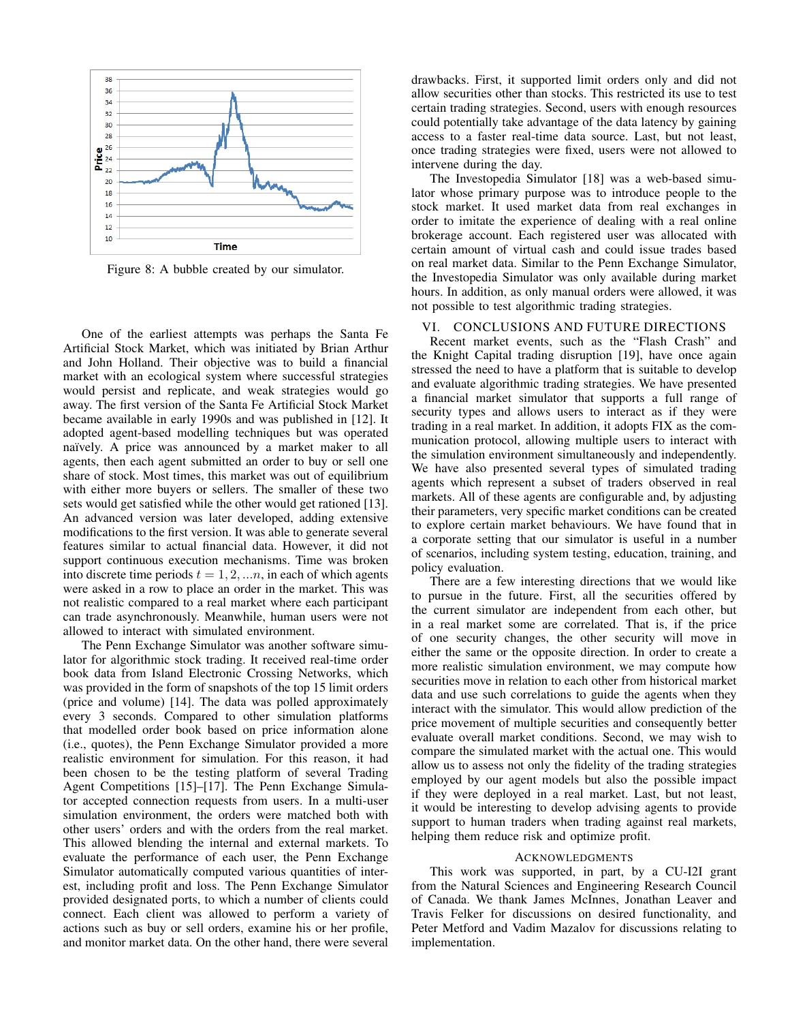<span id="page-5-1"></span>

Figure 8: A bubble created by our simulator.

One of the earliest attempts was perhaps the Santa Fe Artificial Stock Market, which was initiated by Brian Arthur and John Holland. Their objective was to build a financial market with an ecological system where successful strategies would persist and replicate, and weak strategies would go away. The first version of the Santa Fe Artificial Stock Market became available in early 1990s and was published in [\[12\]](#page-6-10). It adopted agent-based modelling techniques but was operated naïvely. A price was announced by a market maker to all agents, then each agent submitted an order to buy or sell one share of stock. Most times, this market was out of equilibrium with either more buyers or sellers. The smaller of these two sets would get satisfied while the other would get rationed [\[13\]](#page-6-11). An advanced version was later developed, adding extensive modifications to the first version. It was able to generate several features similar to actual financial data. However, it did not support continuous execution mechanisms. Time was broken into discrete time periods  $t = 1, 2, \dots n$ , in each of which agents were asked in a row to place an order in the market. This was not realistic compared to a real market where each participant can trade asynchronously. Meanwhile, human users were not allowed to interact with simulated environment.

The Penn Exchange Simulator was another software simulator for algorithmic stock trading. It received real-time order book data from Island Electronic Crossing Networks, which was provided in the form of snapshots of the top 15 limit orders (price and volume) [\[14\]](#page-6-12). The data was polled approximately every 3 seconds. Compared to other simulation platforms that modelled order book based on price information alone (i.e., quotes), the Penn Exchange Simulator provided a more realistic environment for simulation. For this reason, it had been chosen to be the testing platform of several Trading Agent Competitions [\[15\]](#page-6-13)–[\[17\]](#page-6-14). The Penn Exchange Simulator accepted connection requests from users. In a multi-user simulation environment, the orders were matched both with other users' orders and with the orders from the real market. This allowed blending the internal and external markets. To evaluate the performance of each user, the Penn Exchange Simulator automatically computed various quantities of interest, including profit and loss. The Penn Exchange Simulator provided designated ports, to which a number of clients could connect. Each client was allowed to perform a variety of actions such as buy or sell orders, examine his or her profile, and monitor market data. On the other hand, there were several drawbacks. First, it supported limit orders only and did not allow securities other than stocks. This restricted its use to test certain trading strategies. Second, users with enough resources could potentially take advantage of the data latency by gaining access to a faster real-time data source. Last, but not least, once trading strategies were fixed, users were not allowed to intervene during the day.

The Investopedia Simulator [\[18\]](#page-6-15) was a web-based simulator whose primary purpose was to introduce people to the stock market. It used market data from real exchanges in order to imitate the experience of dealing with a real online brokerage account. Each registered user was allocated with certain amount of virtual cash and could issue trades based on real market data. Similar to the Penn Exchange Simulator, the Investopedia Simulator was only available during market hours. In addition, as only manual orders were allowed, it was not possible to test algorithmic trading strategies.

## <span id="page-5-0"></span>VI. CONCLUSIONS AND FUTURE DIRECTIONS

Recent market events, such as the "Flash Crash" and the Knight Capital trading disruption [\[19\]](#page-6-16), have once again stressed the need to have a platform that is suitable to develop and evaluate algorithmic trading strategies. We have presented a financial market simulator that supports a full range of security types and allows users to interact as if they were trading in a real market. In addition, it adopts FIX as the communication protocol, allowing multiple users to interact with the simulation environment simultaneously and independently. We have also presented several types of simulated trading agents which represent a subset of traders observed in real markets. All of these agents are configurable and, by adjusting their parameters, very specific market conditions can be created to explore certain market behaviours. We have found that in a corporate setting that our simulator is useful in a number of scenarios, including system testing, education, training, and policy evaluation.

There are a few interesting directions that we would like to pursue in the future. First, all the securities offered by the current simulator are independent from each other, but in a real market some are correlated. That is, if the price of one security changes, the other security will move in either the same or the opposite direction. In order to create a more realistic simulation environment, we may compute how securities move in relation to each other from historical market data and use such correlations to guide the agents when they interact with the simulator. This would allow prediction of the price movement of multiple securities and consequently better evaluate overall market conditions. Second, we may wish to compare the simulated market with the actual one. This would allow us to assess not only the fidelity of the trading strategies employed by our agent models but also the possible impact if they were deployed in a real market. Last, but not least, it would be interesting to develop advising agents to provide support to human traders when trading against real markets, helping them reduce risk and optimize profit.

#### ACKNOWLEDGMENTS

This work was supported, in part, by a CU-I2I grant from the Natural Sciences and Engineering Research Council of Canada. We thank James McInnes, Jonathan Leaver and Travis Felker for discussions on desired functionality, and Peter Metford and Vadim Mazalov for discussions relating to implementation.